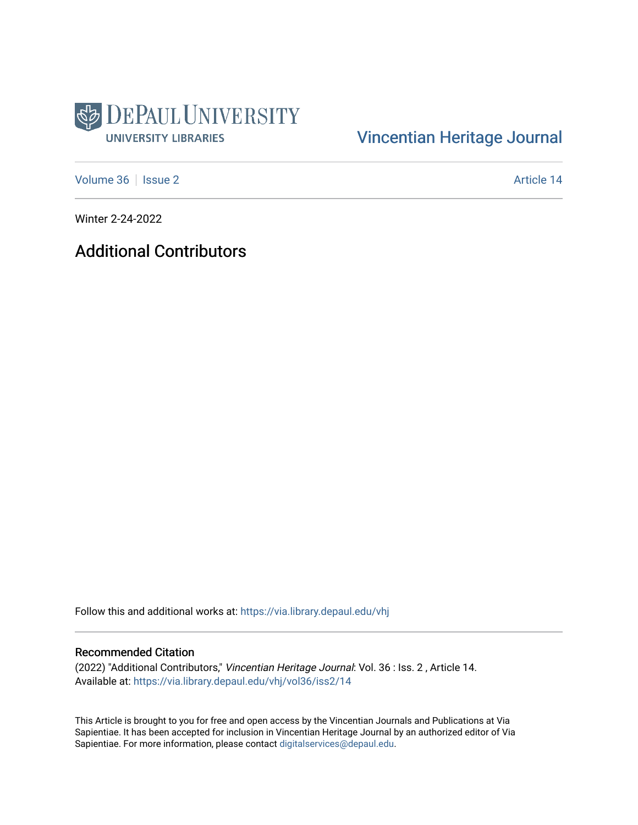

## [Vincentian Heritage Journal](https://via.library.depaul.edu/vhj)

[Volume 36](https://via.library.depaul.edu/vhj/vol36) | [Issue 2](https://via.library.depaul.edu/vhj/vol36/iss2) Article 14

Winter 2-24-2022

Additional Contributors

Follow this and additional works at: [https://via.library.depaul.edu/vhj](https://via.library.depaul.edu/vhj?utm_source=via.library.depaul.edu%2Fvhj%2Fvol36%2Fiss2%2F14&utm_medium=PDF&utm_campaign=PDFCoverPages) 

## Recommended Citation

(2022) "Additional Contributors," Vincentian Heritage Journal: Vol. 36 : Iss. 2 , Article 14. Available at: [https://via.library.depaul.edu/vhj/vol36/iss2/14](https://via.library.depaul.edu/vhj/vol36/iss2/14?utm_source=via.library.depaul.edu%2Fvhj%2Fvol36%2Fiss2%2F14&utm_medium=PDF&utm_campaign=PDFCoverPages)

This Article is brought to you for free and open access by the Vincentian Journals and Publications at Via Sapientiae. It has been accepted for inclusion in Vincentian Heritage Journal by an authorized editor of Via Sapientiae. For more information, please contact [digitalservices@depaul.edu](mailto:digitalservices@depaul.edu).